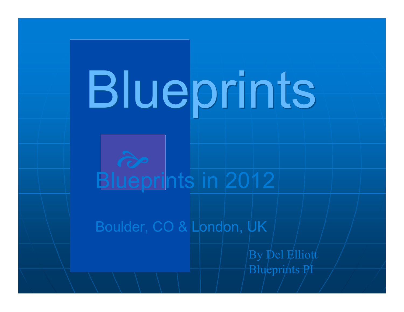# Blueprints

## Blueprints in 2012

Boulder, CO & London, UK

By Del Elliott Blueprints PI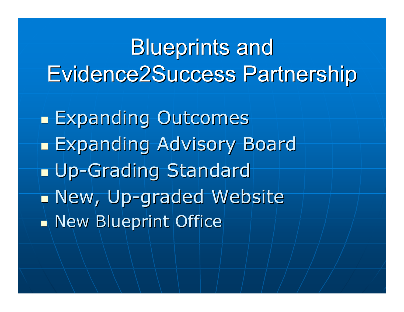## Blueprints and Evidence2Success Partnership

**Expanding Outcomes Expanding Advisory Board Up-Grading Standard** New, Up-graded Website New Blueprint Office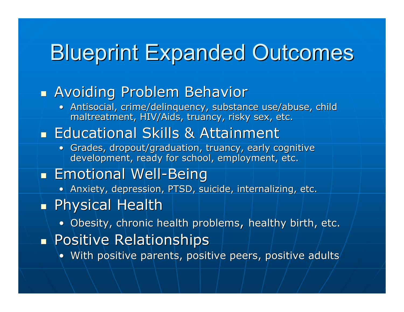## Blueprint Expanded Outcomes

#### **Avoiding Problem Behavior**

• Antisocial, crime/delinquency, substance use/abuse, child maltreatment, HIV/Aids, truancy, risky sex, etc.

#### **Educational Skills & Attainment**

• Grades, dropout/graduation, truancy, early cognitive development, ready for school, employment, etc.

#### **Emotional Well-Being**

• Anxiety, depression, PTSD, suicide, internalizing, etc.

#### Physical Health

- Obesity, chronic health problems, healthy birth, etc.
- **Positive Relationships** 
	- With positive parents, positive peers, positive adults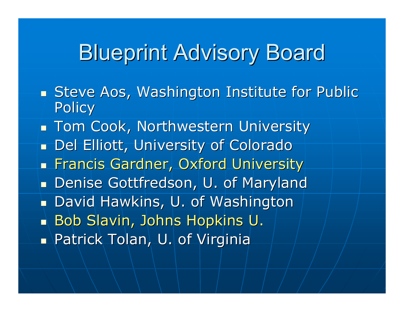## Blueprint Advisory Board

- **Steve Aos, Washington Institute for Public Policy**
- **Tom Cook, Northwestern University Del Elliott, University of Colorado Francis Gardner, Oxford University Denise Gottfredson, U. of Maryland**  David Hawkins, U. of Washington Bob Slavin, Johns Hopkins U. **Patrick Tolan, U. of Virginia**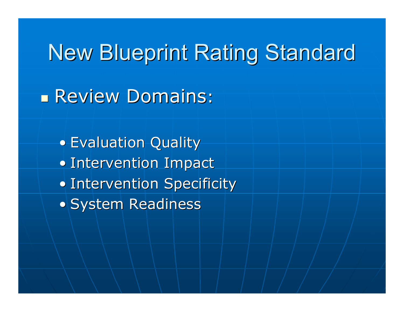## New Blueprint Rating Standard

**Review Domains:** 

• Evaluation Quality • Intervention Impact • Intervention Specificity • System Readiness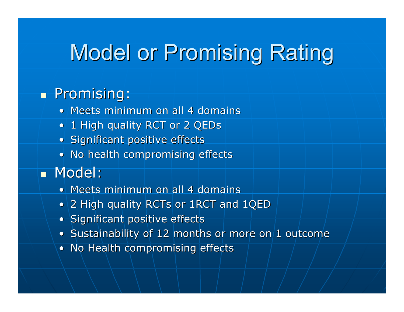## Model or Promising Rating

#### **Promising:**

- Meets minimum on all 4 domains
- 1 High quality RCT or 2 QEDs
- Significant positive effects
- No health compromising effects
- **Nodel:** 
	- Meets minimum on all 4 domains
	- 2 High quality RCTs or 1RCT and 1QED
	- Significant positive effects
	- Sustainability of 12 months or more on  $1$  outcome
	- No Health compromising effects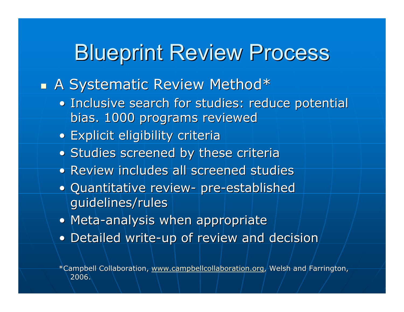### Blueprint Review Process

#### A Systematic Review Method\*

- Inclusive search for studies: reduce potential bias. 1000 programs reviewed
- Explicit eligibility criteria
- Studies screened by these criteria
- Review includes all screened studies
- Quantitative review- pre-established guidelines/rules
- Meta-analysis when appropriate
- Detailed write-up of review and decision

\*Campbell Collaboration, www.campbellcollaboration.org, Welsh and Farrington, 2006.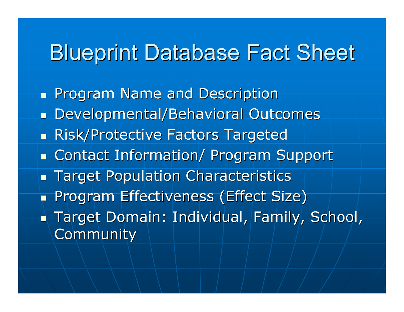## Blueprint Database Fact Sheet

**Program Name and Description**  Developmental/Behavioral Outcomes **Risk/Protective Factors Targeted Example 2 Contact Information/ Program Support Target Population Characteristics Program Effectiveness (Effect Size) Target Domain: Individual, Family, School, Community**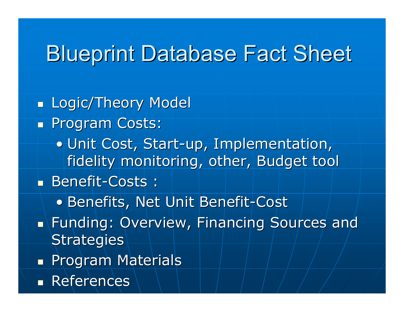## Blueprint Database Fact Sheet

**Logic/Theory Model Program Costs:** • Unit Cost, Start-up, Implementation, fidelity monitoring, other, Budget tool Benefit-Costs : • Benefits, Net Unit Benefit-Cost **Funding: Overview, Financing Sources and Strategies Program Materials References**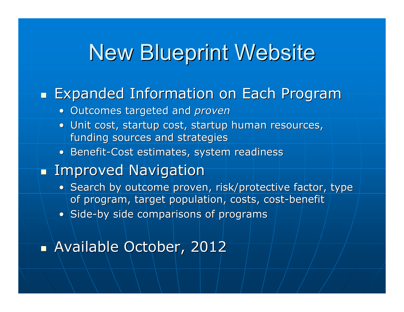## New Blueprint Website

#### **Expanded Information on Each Program**

- Outcomes targeted and *proven*
- Unit cost, startup cost, startup human resources, funding sources and strategies
- Benefit-Cost estimates, system readiness

#### **Improved Navigation**

- Search by outcome proven, risk/protective factor, type of program, target population, costs, cost-benefit
- Side-by side comparisons of programs

#### **Available October, 2012**